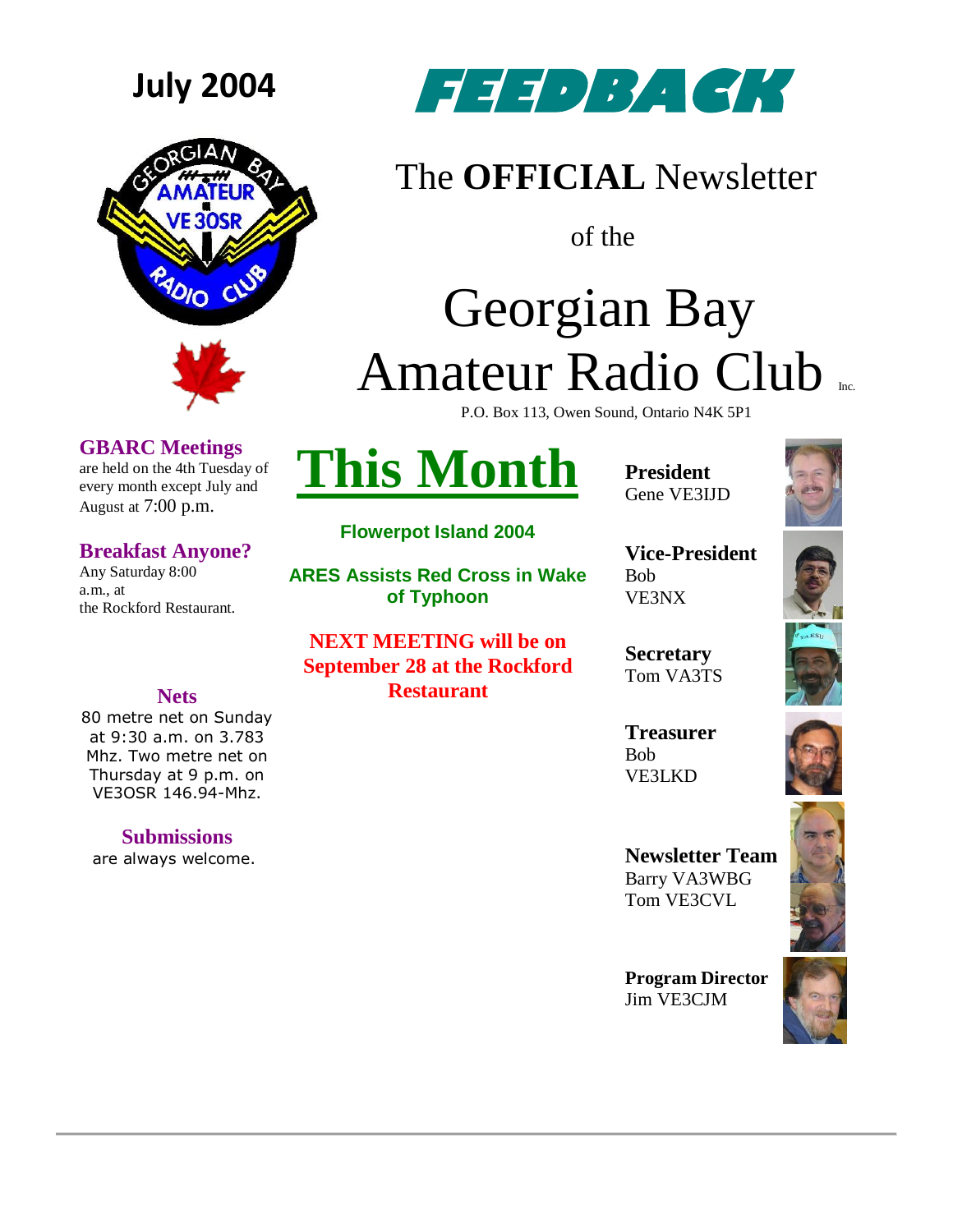



### **GBARC Meetings**

are held on the 4th Tuesday of every month except July and August at 7:00 p.m.

### **Breakfast Anyone?**

Any Saturday 8:00 a.m., at the Rockford Restaurant.

**July 2004 FEEDBACK** 

### The **OFFICIAL** Newsletter

of the

# Georgian Bay Amateur Radio Club

P.O. Box 113, Owen Sound, Ontario N4K 5P1

## **This Month**

**Flowerpot Island 2004**

**ARES Assists Red Cross in Wake of Typhoon**

**NEXT MEETING will be on September 28 at the Rockford Restaurant**

**President** Gene VE3IJD



**Vice-President** Bob VE3NX

**Secretary** Tom VA3TS

**Treasurer** Bob VE3LKD



**Newsletter Team**  Barry VA3WBG Tom VE3CVL

**Program Director** Jim VE3CJM





**Nets**

80 metre net on Sunday at 9:30 a.m. on 3.783 Mhz. Two metre net on Thursday at 9 p.m. on VE3OSR 146.94-Mhz.

**Submissions**

are always welcome.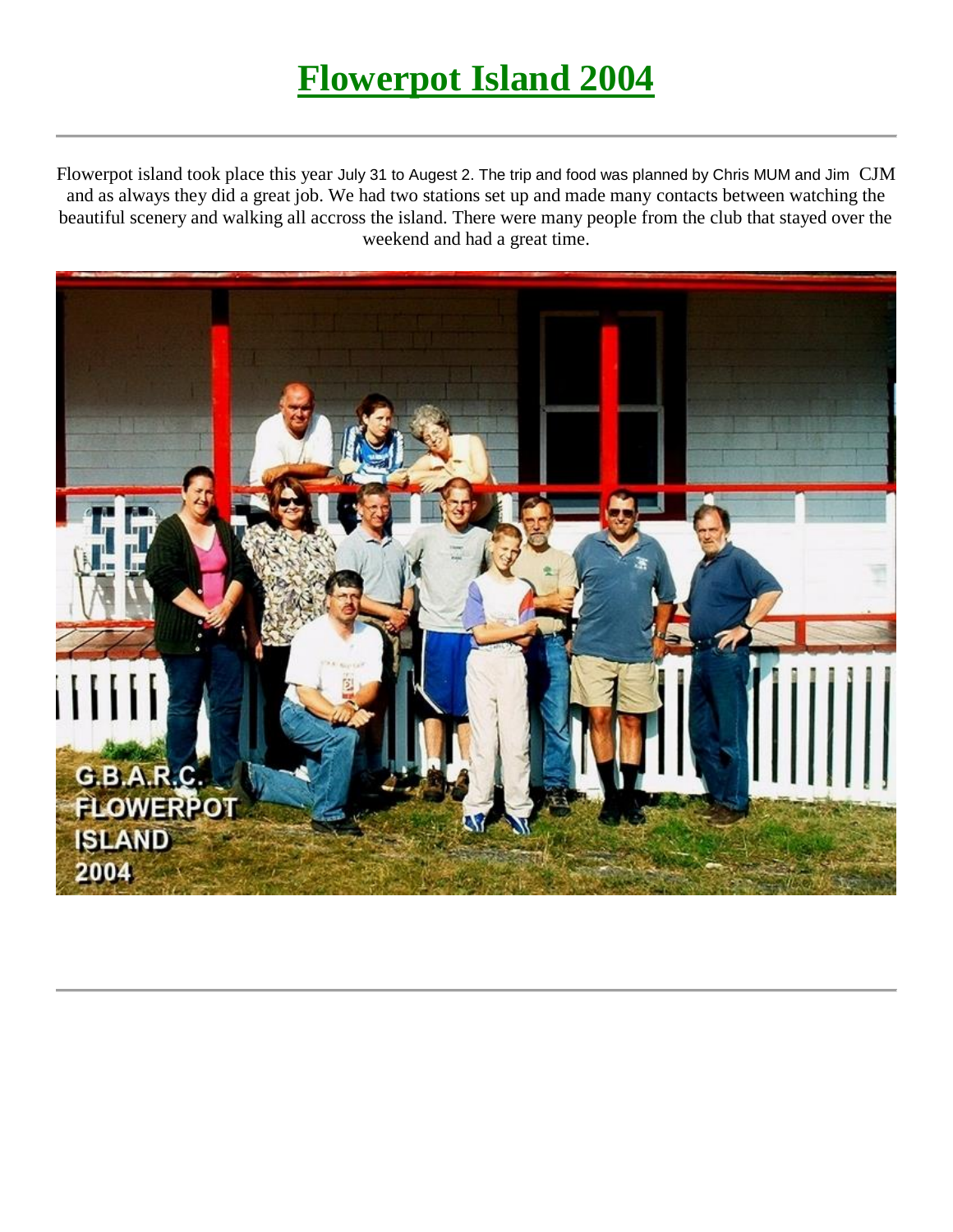## **Flowerpot Island 2004**

Flowerpot island took place this year July 31 to Augest 2. The trip and food was planned by Chris MUM and Jim CJM and as always they did a great job. We had two stations set up and made many contacts between watching the beautiful scenery and walking all accross the island. There were many people from the club that stayed over the weekend and had a great time.